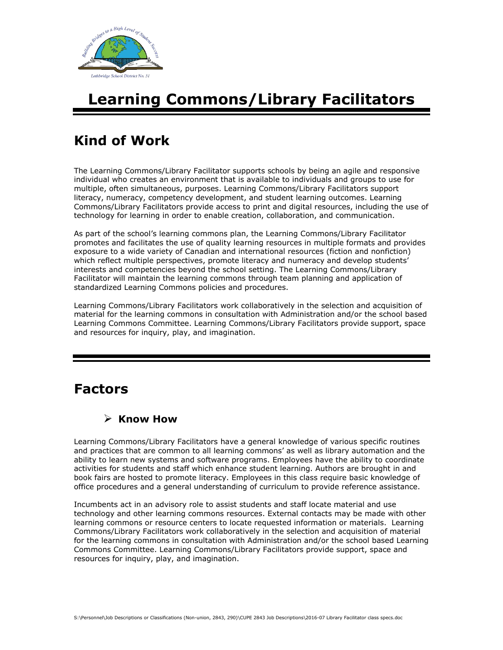

# **Learning Commons/Library Facilitators**

## **Kind of Work**

The Learning Commons/Library Facilitator supports schools by being an agile and responsive individual who creates an environment that is available to individuals and groups to use for multiple, often simultaneous, purposes. Learning Commons/Library Facilitators support literacy, numeracy, competency development, and student learning outcomes. Learning Commons/Library Facilitators provide access to print and digital resources, including the use of technology for learning in order to enable creation, collaboration, and communication.

As part of the school's learning commons plan, the Learning Commons/Library Facilitator promotes and facilitates the use of quality learning resources in multiple formats and provides exposure to a wide variety of Canadian and international resources (fiction and nonfiction) which reflect multiple perspectives, promote literacy and numeracy and develop students' interests and competencies beyond the school setting. The Learning Commons/Library Facilitator will maintain the learning commons through team planning and application of standardized Learning Commons policies and procedures.

Learning Commons/Library Facilitators work collaboratively in the selection and acquisition of material for the learning commons in consultation with Administration and/or the school based Learning Commons Committee. Learning Commons/Library Facilitators provide support, space and resources for inquiry, play, and imagination.

### **Factors**

#### **Know How**

Learning Commons/Library Facilitators have a general knowledge of various specific routines and practices that are common to all learning commons' as well as library automation and the ability to learn new systems and software programs. Employees have the ability to coordinate activities for students and staff which enhance student learning. Authors are brought in and book fairs are hosted to promote literacy. Employees in this class require basic knowledge of office procedures and a general understanding of curriculum to provide reference assistance.

Incumbents act in an advisory role to assist students and staff locate material and use technology and other learning commons resources. External contacts may be made with other learning commons or resource centers to locate requested information or materials. Learning Commons/Library Facilitators work collaboratively in the selection and acquisition of material for the learning commons in consultation with Administration and/or the school based Learning Commons Committee. Learning Commons/Library Facilitators provide support, space and resources for inquiry, play, and imagination.